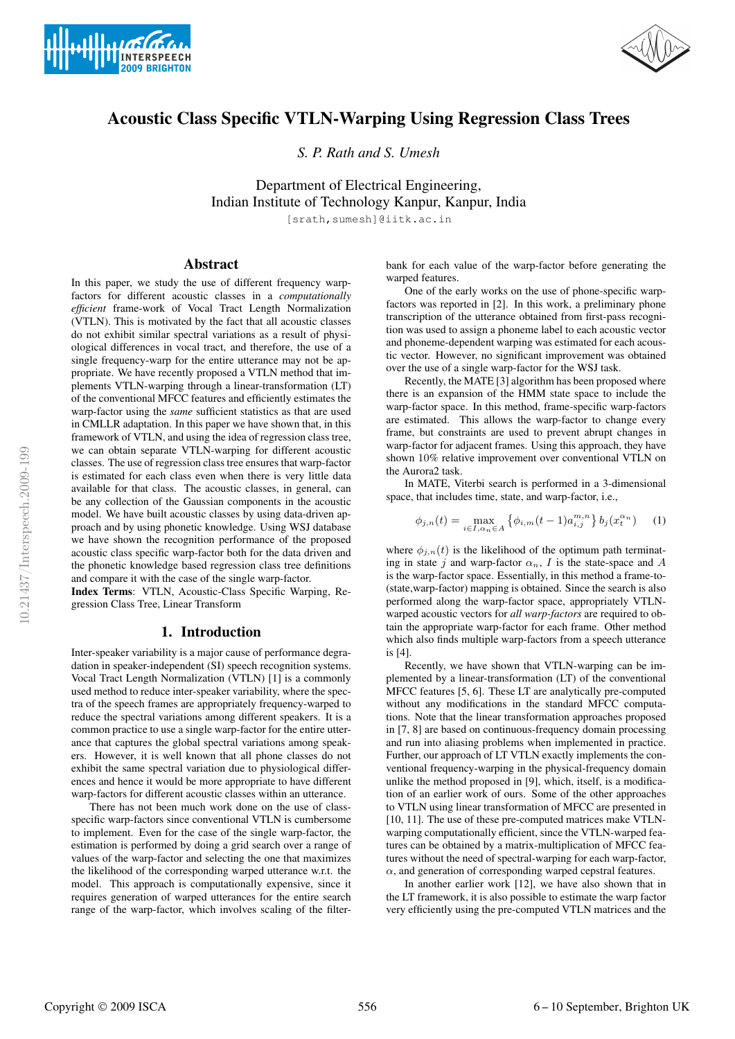



# **Acoustic Class Specific VTLN-Warping Using Regression Class Trees**

*S. P. Rath and S. Umesh*

Department of Electrical Engineering, Indian Institute of Technology Kanpur, Kanpur, India

[srath,sumesh]@iitk.ac.in

# **Abstract**

In this paper, we study the use of different frequency warpfactors for different acoustic classes in a *computationally efficient* frame-work of Vocal Tract Length Normalization (VTLN). This is motivated by the fact that all acoustic classes do not exhibit similar spectral variations as a result of physiological differences in vocal tract, and therefore, the use of a single frequency-warp for the entire utterance may not be appropriate. We have recently proposed a VTLN method that implements VTLN-warping through a linear-transformation (LT) of the conventional MFCC features and efficiently estimates the warp-factor using the *same* sufficient statistics as that are used in CMLLR adaptation. In this paper we have shown that, in this framework of VTLN, and using the idea of regression class tree, we can obtain separate VTLN-warping for different acoustic classes. The use of regression class tree ensures that warp-factor is estimated for each class even when there is very little data available for that class. The acoustic classes, in general, can be any collection of the Gaussian components in the acoustic model. We have built acoustic classes by using data-driven approach and by using phonetic knowledge. Using WSJ database we have shown the recognition performance of the proposed acoustic class specific warp-factor both for the data driven and the phonetic knowledge based regression class tree definitions and compare it with the case of the single warp-factor.

**Index Terms**: VTLN, Acoustic-Class Specific Warping, Regression Class Tree, Linear Transform

## **1. Introduction**

Inter-speaker variability is a major cause of performance degradation in speaker-independent (SI) speech recognition systems. Vocal Tract Length Normalization (VTLN) [1] is a commonly used method to reduce inter-speaker variability, where the spectra of the speech frames are appropriately frequency-warped to reduce the spectral variations among different speakers. It is a common practice to use a single warp-factor for the entire utterance that captures the global spectral variations among speakers. However, it is well known that all phone classes do not exhibit the same spectral variation due to physiological differences and hence it would be more appropriate to have different warp-factors for different acoustic classes within an utterance.

There has not been much work done on the use of classspecific warp-factors since conventional VTLN is cumbersome to implement. Even for the case of the single warp-factor, the estimation is performed by doing a grid search over a range of values of the warp-factor and selecting the one that maximizes the likelihood of the corresponding warped utterance w.r.t. the model. This approach is computationally expensive, since it requires generation of warped utterances for the entire search range of the warp-factor, which involves scaling of the filterbank for each value of the warp-factor before generating the warped features.

One of the early works on the use of phone-specific warpfactors was reported in [2]. In this work, a preliminary phone transcription of the utterance obtained from first-pass recognition was used to assign a phoneme label to each acoustic vector and phoneme-dependent warping was estimated for each acoustic vector. However, no significant improvement was obtained over the use of a single warp-factor for the WSJ task.

Recently, the MATE [3] algorithm has been proposed where there is an expansion of the HMM state space to include the warp-factor space. In this method, frame-specific warp-factors are estimated. This allows the warp-factor to change every frame, but constraints are used to prevent abrupt changes in warp-factor for adjacent frames. Using this approach, they have shown 10% relative improvement over conventional VTLN on the Aurora2 task.

In MATE, Viterbi search is performed in a 3-dimensional space, that includes time, state, and warp-factor, i.e.,

$$
\phi_{j,n}(t) = \max_{i \in I, \alpha_n \in A} \left\{ \phi_{i,m}(t-1) a_{i,j}^{m,n} \right\} b_j(x_t^{\alpha_n}) \quad (1)
$$

where  $\phi_{i,n}(t)$  is the likelihood of the optimum path terminating in state j and warp-factor  $\alpha_n$ , I is the state-space and A is the warp-factor space. Essentially, in this method a frame-to- (state,warp-factor) mapping is obtained. Since the search is also performed along the warp-factor space, appropriately VTLNwarped acoustic vectors for *all warp-factors* are required to obtain the appropriate warp-factor for each frame. Other method which also finds multiple warp-factors from a speech utterance is [4].

Recently, we have shown that VTLN-warping can be implemented by a linear-transformation (LT) of the conventional MFCC features [5, 6]. These LT are analytically pre-computed without any modifications in the standard MFCC computations. Note that the linear transformation approaches proposed in [7, 8] are based on continuous-frequency domain processing and run into aliasing problems when implemented in practice. Further, our approach of LT VTLN exactly implements the conventional frequency-warping in the physical-frequency domain unlike the method proposed in [9], which, itself, is a modification of an earlier work of ours. Some of the other approaches to VTLN using linear transformation of MFCC are presented in [10, 11]. The use of these pre-computed matrices make VTLNwarping computationally efficient, since the VTLN-warped features can be obtained by a matrix-multiplication of MFCC features without the need of spectral-warping for each warp-factor,  $\alpha$ , and generation of corresponding warped cepstral features.

In another earlier work [12], we have also shown that in the LT framework, it is also possible to estimate the warp factor very efficiently using the pre-computed VTLN matrices and the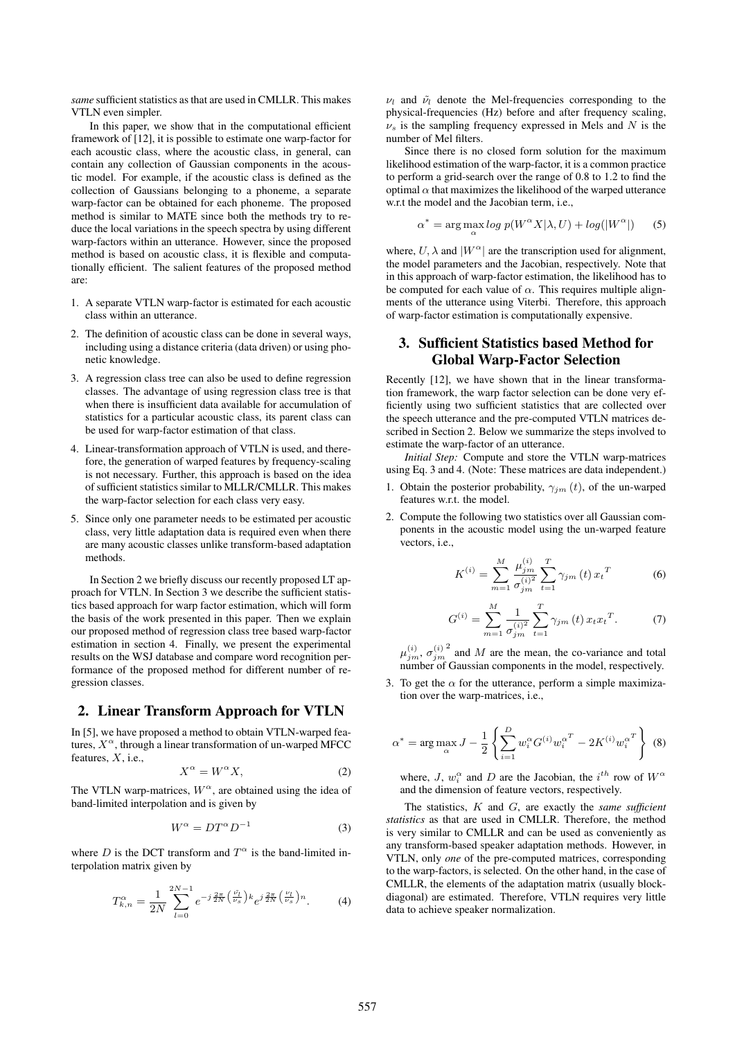*same* sufficient statistics as that are used in CMLLR. This makes VTLN even simpler.

In this paper, we show that in the computational efficient framework of [12], it is possible to estimate one warp-factor for each acoustic class, where the acoustic class, in general, can contain any collection of Gaussian components in the acoustic model. For example, if the acoustic class is defined as the collection of Gaussians belonging to a phoneme, a separate warp-factor can be obtained for each phoneme. The proposed method is similar to MATE since both the methods try to reduce the local variations in the speech spectra by using different warp-factors within an utterance. However, since the proposed method is based on acoustic class, it is flexible and computationally efficient. The salient features of the proposed method are:

- 1. A separate VTLN warp-factor is estimated for each acoustic class within an utterance.
- 2. The definition of acoustic class can be done in several ways, including using a distance criteria (data driven) or using phonetic knowledge.
- 3. A regression class tree can also be used to define regression classes. The advantage of using regression class tree is that when there is insufficient data available for accumulation of statistics for a particular acoustic class, its parent class can be used for warp-factor estimation of that class.
- 4. Linear-transformation approach of VTLN is used, and therefore, the generation of warped features by frequency-scaling is not necessary. Further, this approach is based on the idea of sufficient statistics similar to MLLR/CMLLR. This makes the warp-factor selection for each class very easy.
- 5. Since only one parameter needs to be estimated per acoustic class, very little adaptation data is required even when there are many acoustic classes unlike transform-based adaptation methods.

In Section 2 we briefly discuss our recently proposed LT approach for VTLN. In Section 3 we describe the sufficient statistics based approach for warp factor estimation, which will form the basis of the work presented in this paper. Then we explain our proposed method of regression class tree based warp-factor estimation in section 4. Finally, we present the experimental results on the WSJ database and compare word recognition performance of the proposed method for different number of regression classes.

# **2. Linear Transform Approach for VTLN**

In [5], we have proposed a method to obtain VTLN-warped features,  $X^{\alpha}$ , through a linear transformation of un-warped MFCC features,  $X$ , i.e.,

$$
X^{\alpha} = W^{\alpha} X, \tag{2}
$$

The VTLN warp-matrices,  $W^{\alpha}$ , are obtained using the idea of band-limited interpolation and is given by

$$
W^{\alpha} = DT^{\alpha}D^{-1}
$$
 (3)

where D is the DCT transform and  $T^{\alpha}$  is the band-limited interpolation matrix given by

$$
T_{k,n}^{\alpha} = \frac{1}{2N} \sum_{l=0}^{2N-1} e^{-j\frac{2\pi}{2N} \left(\frac{\tilde{\nu}_l}{\nu_s}\right) k} e^{j\frac{2\pi}{2N} \left(\frac{\nu_l}{\nu_s}\right)n}.
$$
 (4)

 $\nu_l$  and  $\tilde{\nu}_l$  denote the Mel-frequencies corresponding to the physical-frequencies (Hz) before and after frequency scaling,  $\nu_s$  is the sampling frequency expressed in Mels and N is the number of Mel filters.

Since there is no closed form solution for the maximum likelihood estimation of the warp-factor, it is a common practice to perform a grid-search over the range of 0.8 to 1.2 to find the optimal  $\alpha$  that maximizes the likelihood of the warped utterance w.r.t the model and the Jacobian term, i.e.,

$$
\alpha^* = \arg\max_{\alpha} \log p(W^{\alpha} X | \lambda, U) + \log(|W^{\alpha}|)
$$
 (5)

where,  $U, \lambda$  and  $|W^{\alpha}|$  are the transcription used for alignment, the model parameters and the Jacobian, respectively. Note that in this approach of warp-factor estimation, the likelihood has to be computed for each value of  $\alpha$ . This requires multiple alignments of the utterance using Viterbi. Therefore, this approach of warp-factor estimation is computationally expensive.

# **3. Sufficient Statistics based Method for Global Warp-Factor Selection**

Recently [12], we have shown that in the linear transformation framework, the warp factor selection can be done very efficiently using two sufficient statistics that are collected over the speech utterance and the pre-computed VTLN matrices described in Section 2. Below we summarize the steps involved to estimate the warp-factor of an utterance.

*Initial Step:* Compute and store the VTLN warp-matrices using Eq. 3 and 4. (Note: These matrices are data independent.)

- 1. Obtain the posterior probability,  $\gamma_{jm}(t)$ , of the un-warped features w.r.t. the model.
- 2. Compute the following two statistics over all Gaussian components in the acoustic model using the un-warped feature vectors, i.e.,

$$
K^{(i)} = \sum_{m=1}^{M} \frac{\mu_{jm}^{(i)}}{\sigma_{jm}^{(i)2}} \sum_{t=1}^{T} \gamma_{jm} (t) x_t^T
$$
 (6)

$$
G^{(i)} = \sum_{m=1}^{M} \frac{1}{\sigma_{jm}^{(i)^2}} \sum_{t=1}^{T} \gamma_{jm} (t) x_t x_t^T.
$$
 (7)

 $\mu_{jm}^{(i)},\,\sigma_{jm}^{(i)}$  $^{2}$  and M are the mean, the co-variance and total number of Gaussian components in the model, respectively.

3. To get the  $\alpha$  for the utterance, perform a simple maximization over the warp-matrices, i.e.,

$$
\alpha^* = \arg \max_{\alpha} J - \frac{1}{2} \left\{ \sum_{i=1}^{D} w_i^{\alpha} G^{(i)} w_i^{\alpha^T} - 2K^{(i)} w_i^{\alpha^T} \right\} (8)
$$

where, J,  $w_i^{\alpha}$  and D are the Jacobian, the  $i^{th}$  row of  $W^{\alpha}$ and the dimension of feature vectors, respectively.

The statistics, K and G, are exactly the *same sufficient statistics* as that are used in CMLLR. Therefore, the method is very similar to CMLLR and can be used as conveniently as any transform-based speaker adaptation methods. However, in VTLN, only *one* of the pre-computed matrices, corresponding to the warp-factors, is selected. On the other hand, in the case of CMLLR, the elements of the adaptation matrix (usually blockdiagonal) are estimated. Therefore, VTLN requires very little data to achieve speaker normalization.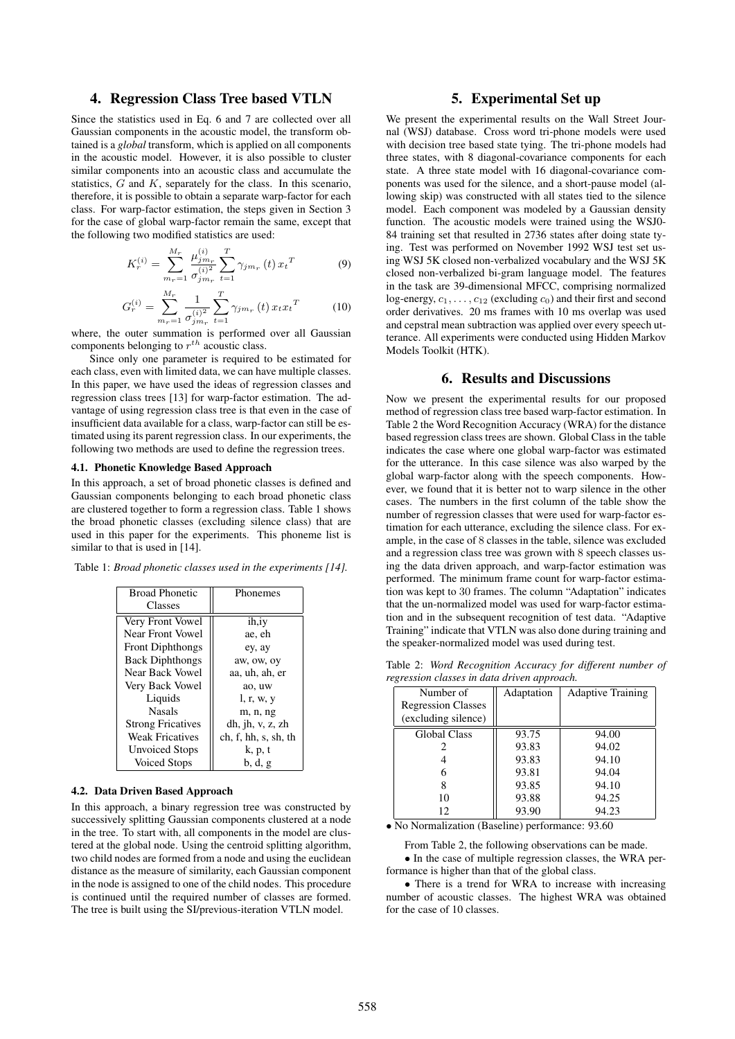## **4. Regression Class Tree based VTLN**

Since the statistics used in Eq. 6 and 7 are collected over all Gaussian components in the acoustic model, the transform obtained is a *global* transform, which is applied on all components in the acoustic model. However, it is also possible to cluster similar components into an acoustic class and accumulate the statistics,  $G$  and  $K$ , separately for the class. In this scenario, therefore, it is possible to obtain a separate warp-factor for each class. For warp-factor estimation, the steps given in Section 3 for the case of global warp-factor remain the same, except that the following two modified statistics are used:

$$
K_r^{(i)} = \sum_{m_r=1}^{M_r} \frac{\mu_{jm_r}^{(i)}}{\sigma_{jm_r}^{(i)^2}} \sum_{t=1}^T \gamma_{jm_r}(t) x_t^T
$$
(9)

$$
G_r^{(i)} = \sum_{m_r=1}^{M_r} \frac{1}{\sigma_{j m_r}^{(i)^2}} \sum_{t=1}^T \gamma_{j m_r}(t) x_t x_t^T
$$
 (10)

where, the outer summation is performed over all Gaussian components belonging to  $r^{th}$  acoustic class.

Since only one parameter is required to be estimated for each class, even with limited data, we can have multiple classes. In this paper, we have used the ideas of regression classes and regression class trees [13] for warp-factor estimation. The advantage of using regression class tree is that even in the case of insufficient data available for a class, warp-factor can still be estimated using its parent regression class. In our experiments, the following two methods are used to define the regression trees.

### **4.1. Phonetic Knowledge Based Approach**

In this approach, a set of broad phonetic classes is defined and Gaussian components belonging to each broad phonetic class are clustered together to form a regression class. Table 1 shows the broad phonetic classes (excluding silence class) that are used in this paper for the experiments. This phoneme list is similar to that is used in [14].

Table 1: *Broad phonetic classes used in the experiments [14].*

| <b>Broad Phonetic</b>    | Phonemes             |
|--------------------------|----------------------|
| Classes                  |                      |
| Very Front Vowel         | ih,iy                |
| Near Front Vowel         | ae, eh               |
| <b>Front Diphthongs</b>  | ey, ay               |
| <b>Back Diphthongs</b>   | aw, ow, oy           |
| Near Back Vowel          | aa, uh, ah, er       |
| Very Back Vowel          | ao, uw               |
| Liquids                  | l, r, w, y           |
| <b>Nasals</b>            | m, n, ng             |
| <b>Strong Fricatives</b> | dh, ih, v, z, zh     |
| <b>Weak Fricatives</b>   | ch, f, hh, s, sh, th |
| <b>Unvoiced Stops</b>    | k, p, t              |
| <b>Voiced Stops</b>      | b, d, g              |

#### **4.2. Data Driven Based Approach**

In this approach, a binary regression tree was constructed by successively splitting Gaussian components clustered at a node in the tree. To start with, all components in the model are clustered at the global node. Using the centroid splitting algorithm, two child nodes are formed from a node and using the euclidean distance as the measure of similarity, each Gaussian component in the node is assigned to one of the child nodes. This procedure is continued until the required number of classes are formed. The tree is built using the SI/previous-iteration VTLN model.

# **5. Experimental Set up**

We present the experimental results on the Wall Street Journal (WSJ) database. Cross word tri-phone models were used with decision tree based state tying. The tri-phone models had three states, with 8 diagonal-covariance components for each state. A three state model with 16 diagonal-covariance components was used for the silence, and a short-pause model (allowing skip) was constructed with all states tied to the silence model. Each component was modeled by a Gaussian density function. The acoustic models were trained using the WSJ0- 84 training set that resulted in 2736 states after doing state tying. Test was performed on November 1992 WSJ test set using WSJ 5K closed non-verbalized vocabulary and the WSJ 5K closed non-verbalized bi-gram language model. The features in the task are 39-dimensional MFCC, comprising normalized log-energy,  $c_1, \ldots, c_{12}$  (excluding  $c_0$ ) and their first and second order derivatives. 20 ms frames with 10 ms overlap was used and cepstral mean subtraction was applied over every speech utterance. All experiments were conducted using Hidden Markov Models Toolkit (HTK).

### **6. Results and Discussions**

Now we present the experimental results for our proposed method of regression class tree based warp-factor estimation. In Table 2 the Word Recognition Accuracy (WRA) for the distance based regression class trees are shown. Global Class in the table indicates the case where one global warp-factor was estimated for the utterance. In this case silence was also warped by the global warp-factor along with the speech components. However, we found that it is better not to warp silence in the other cases. The numbers in the first column of the table show the number of regression classes that were used for warp-factor estimation for each utterance, excluding the silence class. For example, in the case of 8 classes in the table, silence was excluded and a regression class tree was grown with 8 speech classes using the data driven approach, and warp-factor estimation was performed. The minimum frame count for warp-factor estimation was kept to 30 frames. The column "Adaptation" indicates that the un-normalized model was used for warp-factor estimation and in the subsequent recognition of test data. "Adaptive Training" indicate that VTLN was also done during training and the speaker-normalized model was used during test.

Table 2: *Word Recognition Accuracy for different number of regression classes in data driven approach.*

| Number of                 | Adaptation | <b>Adaptive Training</b> |  |  |  |  |  |  |  |
|---------------------------|------------|--------------------------|--|--|--|--|--|--|--|
| <b>Regression Classes</b> |            |                          |  |  |  |  |  |  |  |
| (excluding silence)       |            |                          |  |  |  |  |  |  |  |
| <b>Global Class</b>       | 93.75      | 94.00                    |  |  |  |  |  |  |  |
|                           | 93.83      | 94.02                    |  |  |  |  |  |  |  |
|                           | 93.83      | 94.10                    |  |  |  |  |  |  |  |
|                           | 93.81      | 94.04                    |  |  |  |  |  |  |  |
| 8                         | 93.85      | 94.10                    |  |  |  |  |  |  |  |
| 10                        | 93.88      | 94.25                    |  |  |  |  |  |  |  |
| 12                        | 93.90      | 94.23                    |  |  |  |  |  |  |  |
|                           |            |                          |  |  |  |  |  |  |  |

• No Normalization (Baseline) performance: 93.60

From Table 2, the following observations can be made. • In the case of multiple regression classes, the WRA performance is higher than that of the global class.

• There is a trend for WRA to increase with increasing number of acoustic classes. The highest WRA was obtained for the case of 10 classes.